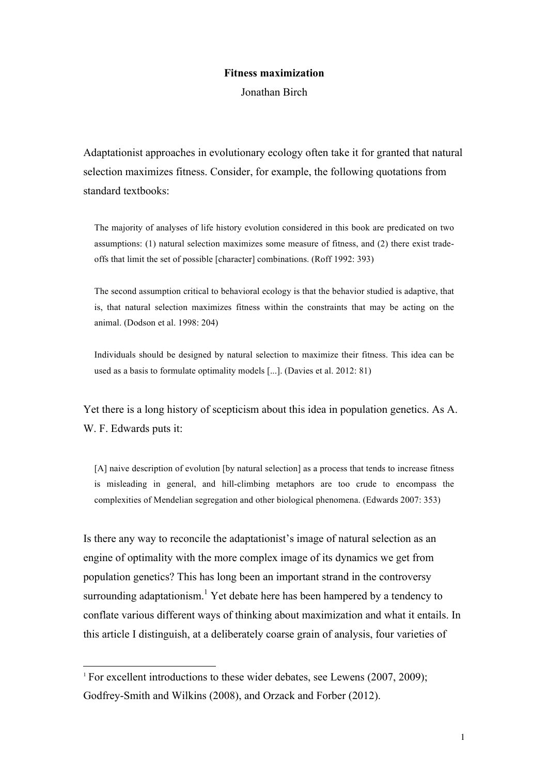# **Fitness maximization**

Jonathan Birch

Adaptationist approaches in evolutionary ecology often take it for granted that natural selection maximizes fitness. Consider, for example, the following quotations from standard textbooks:

The majority of analyses of life history evolution considered in this book are predicated on two assumptions: (1) natural selection maximizes some measure of fitness, and (2) there exist tradeoffs that limit the set of possible [character] combinations. (Roff 1992: 393)

The second assumption critical to behavioral ecology is that the behavior studied is adaptive, that is, that natural selection maximizes fitness within the constraints that may be acting on the animal. (Dodson et al. 1998: 204)

Individuals should be designed by natural selection to maximize their fitness. This idea can be used as a basis to formulate optimality models [...]. (Davies et al. 2012: 81)

Yet there is a long history of scepticism about this idea in population genetics. As A. W. F. Edwards puts it:

[A] naive description of evolution [by natural selection] as a process that tends to increase fitness is misleading in general, and hill-climbing metaphors are too crude to encompass the complexities of Mendelian segregation and other biological phenomena. (Edwards 2007: 353)

Is there any way to reconcile the adaptationist's image of natural selection as an engine of optimality with the more complex image of its dynamics we get from population genetics? This has long been an important strand in the controversy surrounding adaptationism.<sup>1</sup> Yet debate here has been hampered by a tendency to conflate various different ways of thinking about maximization and what it entails. In this article I distinguish, at a deliberately coarse grain of analysis, four varieties of

<sup>&</sup>lt;sup>1</sup> For excellent introductions to these wider debates, see Lewens (2007, 2009); Godfrey-Smith and Wilkins (2008), and Orzack and Forber (2012).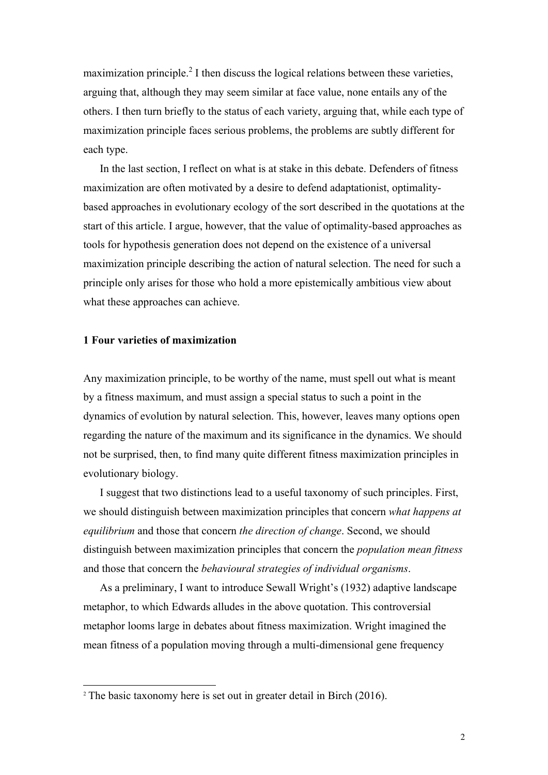maximization principle.<sup>2</sup> I then discuss the logical relations between these varieties, arguing that, although they may seem similar at face value, none entails any of the others. I then turn briefly to the status of each variety, arguing that, while each type of maximization principle faces serious problems, the problems are subtly different for each type.

In the last section, I reflect on what is at stake in this debate. Defenders of fitness maximization are often motivated by a desire to defend adaptationist, optimalitybased approaches in evolutionary ecology of the sort described in the quotations at the start of this article. I argue, however, that the value of optimality-based approaches as tools for hypothesis generation does not depend on the existence of a universal maximization principle describing the action of natural selection. The need for such a principle only arises for those who hold a more epistemically ambitious view about what these approaches can achieve.

### **1 Four varieties of maximization**

Any maximization principle, to be worthy of the name, must spell out what is meant by a fitness maximum, and must assign a special status to such a point in the dynamics of evolution by natural selection. This, however, leaves many options open regarding the nature of the maximum and its significance in the dynamics. We should not be surprised, then, to find many quite different fitness maximization principles in evolutionary biology.

I suggest that two distinctions lead to a useful taxonomy of such principles. First, we should distinguish between maximization principles that concern *what happens at equilibrium* and those that concern *the direction of change*. Second, we should distinguish between maximization principles that concern the *population mean fitness*  and those that concern the *behavioural strategies of individual organisms*.

As a preliminary, I want to introduce Sewall Wright's (1932) adaptive landscape metaphor, to which Edwards alludes in the above quotation. This controversial metaphor looms large in debates about fitness maximization. Wright imagined the mean fitness of a population moving through a multi-dimensional gene frequency

 <sup>2</sup> The basic taxonomy here is set out in greater detail in Birch (2016).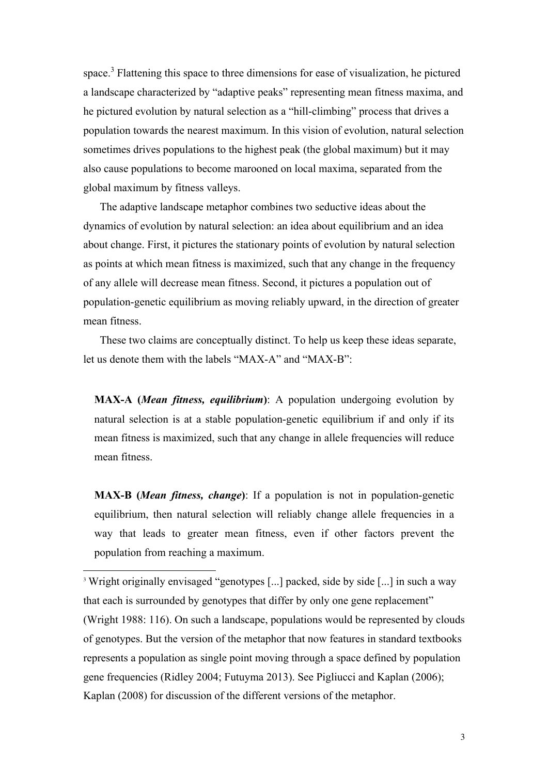space.<sup>3</sup> Flattening this space to three dimensions for ease of visualization, he pictured a landscape characterized by "adaptive peaks" representing mean fitness maxima, and he pictured evolution by natural selection as a "hill-climbing" process that drives a population towards the nearest maximum. In this vision of evolution, natural selection sometimes drives populations to the highest peak (the global maximum) but it may also cause populations to become marooned on local maxima, separated from the global maximum by fitness valleys.

The adaptive landscape metaphor combines two seductive ideas about the dynamics of evolution by natural selection: an idea about equilibrium and an idea about change. First, it pictures the stationary points of evolution by natural selection as points at which mean fitness is maximized, such that any change in the frequency of any allele will decrease mean fitness. Second, it pictures a population out of population-genetic equilibrium as moving reliably upward, in the direction of greater mean fitness.

These two claims are conceptually distinct. To help us keep these ideas separate, let us denote them with the labels "MAX-A" and "MAX-B":

**MAX-A (***Mean fitness, equilibrium***)**: A population undergoing evolution by natural selection is at a stable population-genetic equilibrium if and only if its mean fitness is maximized, such that any change in allele frequencies will reduce mean fitness.

**MAX-B (***Mean fitness, change***)**: If a population is not in population-genetic equilibrium, then natural selection will reliably change allele frequencies in a way that leads to greater mean fitness, even if other factors prevent the population from reaching a maximum.

<sup>&</sup>lt;sup>3</sup> Wright originally envisaged "genotypes [...] packed, side by side [...] in such a way that each is surrounded by genotypes that differ by only one gene replacement" (Wright 1988: 116). On such a landscape, populations would be represented by clouds of genotypes. But the version of the metaphor that now features in standard textbooks represents a population as single point moving through a space defined by population gene frequencies (Ridley 2004; Futuyma 2013). See Pigliucci and Kaplan (2006); Kaplan (2008) for discussion of the different versions of the metaphor.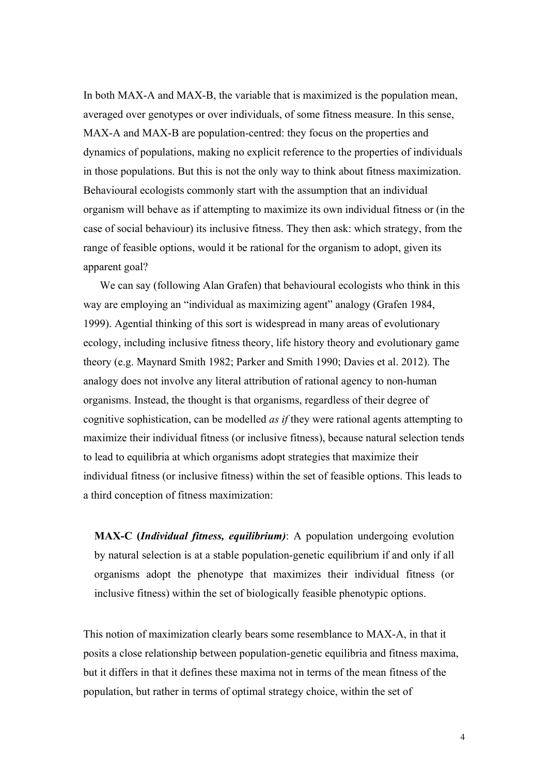In both MAX-A and MAX-B, the variable that is maximized is the population mean, averaged over genotypes or over individuals, of some fitness measure. In this sense, MAX-A and MAX-B are population-centred: they focus on the properties and dynamics of populations, making no explicit reference to the properties of individuals in those populations. But this is not the only way to think about fitness maximization. Behavioural ecologists commonly start with the assumption that an individual organism will behave as if attempting to maximize its own individual fitness or (in the case of social behaviour) its inclusive fitness. They then ask: which strategy, from the range of feasible options, would it be rational for the organism to adopt, given its apparent goal?

We can say (following Alan Grafen) that behavioural ecologists who think in this way are employing an "individual as maximizing agent" analogy (Grafen 1984, 1999). Agential thinking of this sort is widespread in many areas of evolutionary ecology, including inclusive fitness theory, life history theory and evolutionary game theory (e.g. Maynard Smith 1982; Parker and Smith 1990; Davies et al. 2012). The analogy does not involve any literal attribution of rational agency to non-human organisms. Instead, the thought is that organisms, regardless of their degree of cognitive sophistication, can be modelled *as if* they were rational agents attempting to maximize their individual fitness (or inclusive fitness), because natural selection tends to lead to equilibria at which organisms adopt strategies that maximize their individual fitness (or inclusive fitness) within the set of feasible options. This leads to a third conception of fitness maximization:

**MAX-C (***Individual fitness, equilibrium)*: A population undergoing evolution by natural selection is at a stable population-genetic equilibrium if and only if all organisms adopt the phenotype that maximizes their individual fitness (or inclusive fitness) within the set of biologically feasible phenotypic options.

This notion of maximization clearly bears some resemblance to MAX-A, in that it posits a close relationship between population-genetic equilibria and fitness maxima, but it differs in that it defines these maxima not in terms of the mean fitness of the population, but rather in terms of optimal strategy choice, within the set of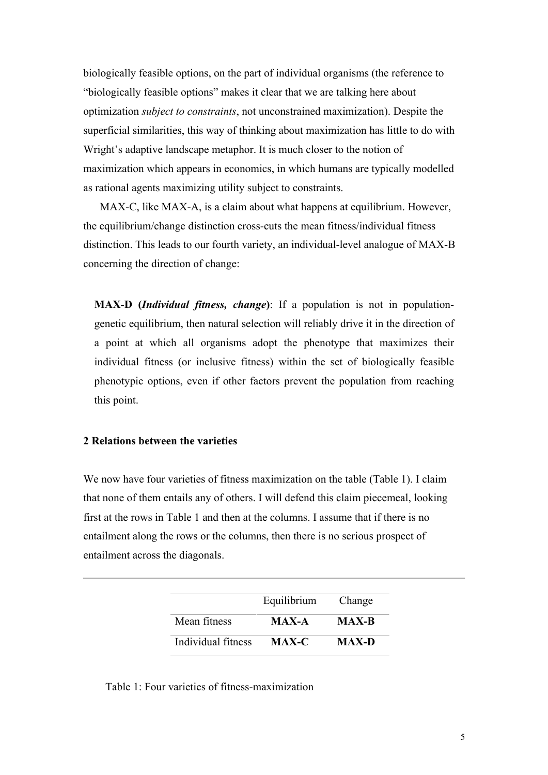biologically feasible options, on the part of individual organisms (the reference to "biologically feasible options" makes it clear that we are talking here about optimization *subject to constraints*, not unconstrained maximization). Despite the superficial similarities, this way of thinking about maximization has little to do with Wright's adaptive landscape metaphor. It is much closer to the notion of maximization which appears in economics, in which humans are typically modelled as rational agents maximizing utility subject to constraints.

MAX-C, like MAX-A, is a claim about what happens at equilibrium. However, the equilibrium/change distinction cross-cuts the mean fitness/individual fitness distinction. This leads to our fourth variety, an individual-level analogue of MAX-B concerning the direction of change:

**MAX-D (***Individual fitness, change***)**: If a population is not in populationgenetic equilibrium, then natural selection will reliably drive it in the direction of a point at which all organisms adopt the phenotype that maximizes their individual fitness (or inclusive fitness) within the set of biologically feasible phenotypic options, even if other factors prevent the population from reaching this point.

## **2 Relations between the varieties**

We now have four varieties of fitness maximization on the table (Table 1). I claim that none of them entails any of others. I will defend this claim piecemeal, looking first at the rows in Table 1 and then at the columns. I assume that if there is no entailment along the rows or the columns, then there is no serious prospect of entailment across the diagonals.

|                    | Equilibrium  | Change       |
|--------------------|--------------|--------------|
| Mean fitness       | <b>MAX-A</b> | <b>MAX-R</b> |
| Individual fitness | <b>MAX-C</b> | <b>MAX-D</b> |

Table 1: Four varieties of fitness-maximization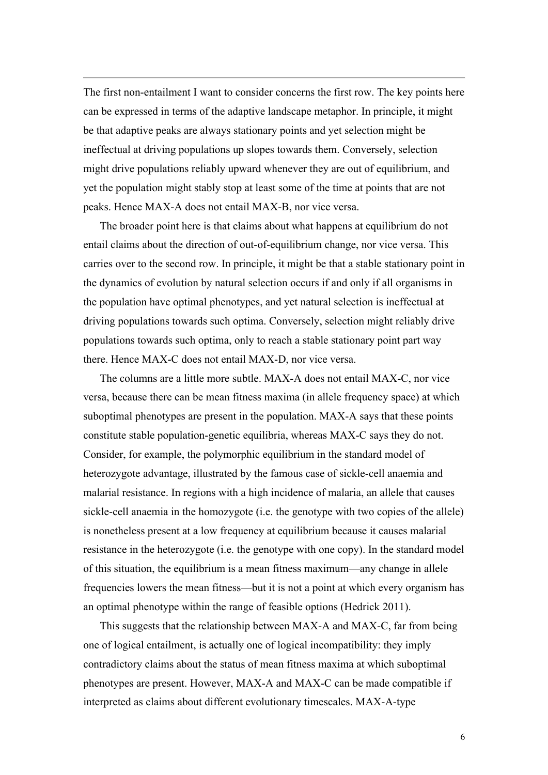The first non-entailment I want to consider concerns the first row. The key points here can be expressed in terms of the adaptive landscape metaphor. In principle, it might be that adaptive peaks are always stationary points and yet selection might be ineffectual at driving populations up slopes towards them. Conversely, selection might drive populations reliably upward whenever they are out of equilibrium, and yet the population might stably stop at least some of the time at points that are not peaks. Hence MAX-A does not entail MAX-B, nor vice versa.

The broader point here is that claims about what happens at equilibrium do not entail claims about the direction of out-of-equilibrium change, nor vice versa. This carries over to the second row. In principle, it might be that a stable stationary point in the dynamics of evolution by natural selection occurs if and only if all organisms in the population have optimal phenotypes, and yet natural selection is ineffectual at driving populations towards such optima. Conversely, selection might reliably drive populations towards such optima, only to reach a stable stationary point part way there. Hence MAX-C does not entail MAX-D, nor vice versa.

The columns are a little more subtle. MAX-A does not entail MAX-C, nor vice versa, because there can be mean fitness maxima (in allele frequency space) at which suboptimal phenotypes are present in the population. MAX-A says that these points constitute stable population-genetic equilibria, whereas MAX-C says they do not. Consider, for example, the polymorphic equilibrium in the standard model of heterozygote advantage, illustrated by the famous case of sickle-cell anaemia and malarial resistance. In regions with a high incidence of malaria, an allele that causes sickle-cell anaemia in the homozygote (i.e. the genotype with two copies of the allele) is nonetheless present at a low frequency at equilibrium because it causes malarial resistance in the heterozygote (i.e. the genotype with one copy). In the standard model of this situation, the equilibrium is a mean fitness maximum—any change in allele frequencies lowers the mean fitness—but it is not a point at which every organism has an optimal phenotype within the range of feasible options (Hedrick 2011).

This suggests that the relationship between MAX-A and MAX-C, far from being one of logical entailment, is actually one of logical incompatibility: they imply contradictory claims about the status of mean fitness maxima at which suboptimal phenotypes are present. However, MAX-A and MAX-C can be made compatible if interpreted as claims about different evolutionary timescales. MAX-A-type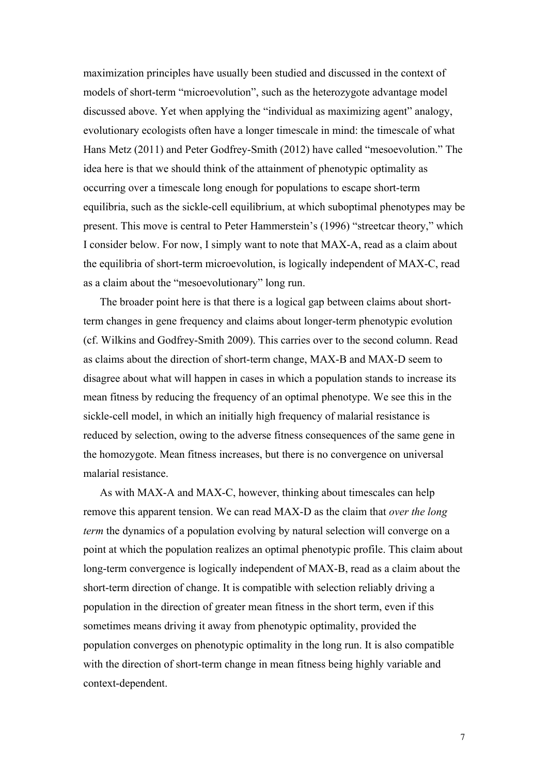maximization principles have usually been studied and discussed in the context of models of short-term "microevolution", such as the heterozygote advantage model discussed above. Yet when applying the "individual as maximizing agent" analogy, evolutionary ecologists often have a longer timescale in mind: the timescale of what Hans Metz (2011) and Peter Godfrey-Smith (2012) have called "mesoevolution." The idea here is that we should think of the attainment of phenotypic optimality as occurring over a timescale long enough for populations to escape short-term equilibria, such as the sickle-cell equilibrium, at which suboptimal phenotypes may be present. This move is central to Peter Hammerstein's (1996) "streetcar theory," which I consider below. For now, I simply want to note that MAX-A, read as a claim about the equilibria of short-term microevolution, is logically independent of MAX-C, read as a claim about the "mesoevolutionary" long run.

The broader point here is that there is a logical gap between claims about shortterm changes in gene frequency and claims about longer-term phenotypic evolution (cf. Wilkins and Godfrey-Smith 2009). This carries over to the second column. Read as claims about the direction of short-term change, MAX-B and MAX-D seem to disagree about what will happen in cases in which a population stands to increase its mean fitness by reducing the frequency of an optimal phenotype. We see this in the sickle-cell model, in which an initially high frequency of malarial resistance is reduced by selection, owing to the adverse fitness consequences of the same gene in the homozygote. Mean fitness increases, but there is no convergence on universal malarial resistance.

As with MAX-A and MAX-C, however, thinking about timescales can help remove this apparent tension. We can read MAX-D as the claim that *over the long term* the dynamics of a population evolving by natural selection will converge on a point at which the population realizes an optimal phenotypic profile. This claim about long-term convergence is logically independent of MAX-B, read as a claim about the short-term direction of change. It is compatible with selection reliably driving a population in the direction of greater mean fitness in the short term, even if this sometimes means driving it away from phenotypic optimality, provided the population converges on phenotypic optimality in the long run. It is also compatible with the direction of short-term change in mean fitness being highly variable and context-dependent.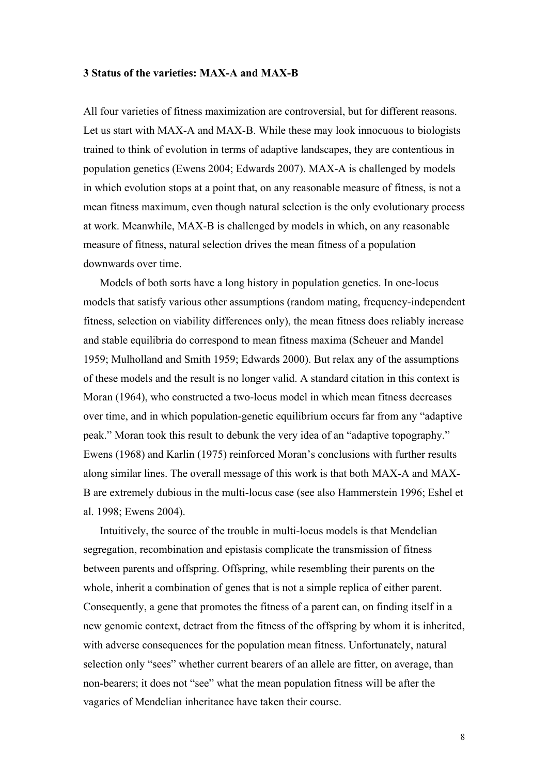## **3 Status of the varieties: MAX-A and MAX-B**

All four varieties of fitness maximization are controversial, but for different reasons. Let us start with MAX-A and MAX-B. While these may look innocuous to biologists trained to think of evolution in terms of adaptive landscapes, they are contentious in population genetics (Ewens 2004; Edwards 2007). MAX-A is challenged by models in which evolution stops at a point that, on any reasonable measure of fitness, is not a mean fitness maximum, even though natural selection is the only evolutionary process at work. Meanwhile, MAX-B is challenged by models in which, on any reasonable measure of fitness, natural selection drives the mean fitness of a population downwards over time.

Models of both sorts have a long history in population genetics. In one-locus models that satisfy various other assumptions (random mating, frequency-independent fitness, selection on viability differences only), the mean fitness does reliably increase and stable equilibria do correspond to mean fitness maxima (Scheuer and Mandel 1959; Mulholland and Smith 1959; Edwards 2000). But relax any of the assumptions of these models and the result is no longer valid. A standard citation in this context is Moran (1964), who constructed a two-locus model in which mean fitness decreases over time, and in which population-genetic equilibrium occurs far from any "adaptive peak." Moran took this result to debunk the very idea of an "adaptive topography." Ewens (1968) and Karlin (1975) reinforced Moran's conclusions with further results along similar lines. The overall message of this work is that both MAX-A and MAX-B are extremely dubious in the multi-locus case (see also Hammerstein 1996; Eshel et al. 1998; Ewens 2004).

Intuitively, the source of the trouble in multi-locus models is that Mendelian segregation, recombination and epistasis complicate the transmission of fitness between parents and offspring. Offspring, while resembling their parents on the whole, inherit a combination of genes that is not a simple replica of either parent. Consequently, a gene that promotes the fitness of a parent can, on finding itself in a new genomic context, detract from the fitness of the offspring by whom it is inherited, with adverse consequences for the population mean fitness. Unfortunately, natural selection only "sees" whether current bearers of an allele are fitter, on average, than non-bearers; it does not "see" what the mean population fitness will be after the vagaries of Mendelian inheritance have taken their course.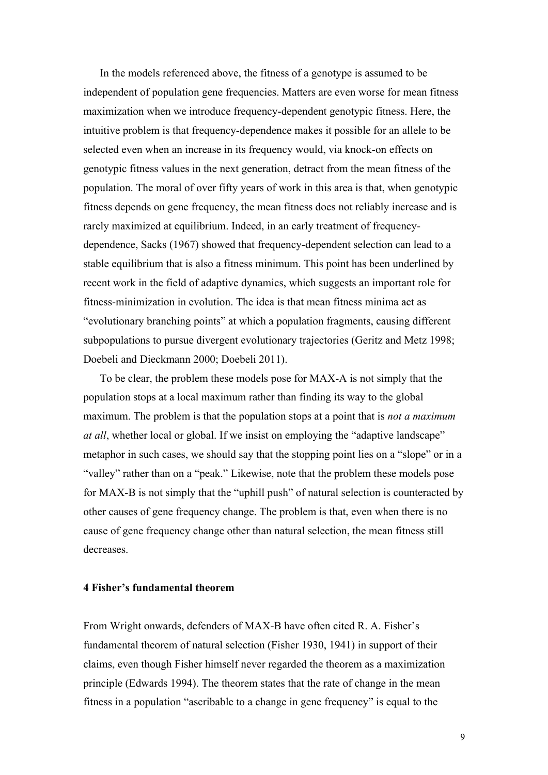In the models referenced above, the fitness of a genotype is assumed to be independent of population gene frequencies. Matters are even worse for mean fitness maximization when we introduce frequency-dependent genotypic fitness. Here, the intuitive problem is that frequency-dependence makes it possible for an allele to be selected even when an increase in its frequency would, via knock-on effects on genotypic fitness values in the next generation, detract from the mean fitness of the population. The moral of over fifty years of work in this area is that, when genotypic fitness depends on gene frequency, the mean fitness does not reliably increase and is rarely maximized at equilibrium. Indeed, in an early treatment of frequencydependence, Sacks (1967) showed that frequency-dependent selection can lead to a stable equilibrium that is also a fitness minimum. This point has been underlined by recent work in the field of adaptive dynamics, which suggests an important role for fitness-minimization in evolution. The idea is that mean fitness minima act as "evolutionary branching points" at which a population fragments, causing different subpopulations to pursue divergent evolutionary trajectories (Geritz and Metz 1998; Doebeli and Dieckmann 2000; Doebeli 2011).

To be clear, the problem these models pose for MAX-A is not simply that the population stops at a local maximum rather than finding its way to the global maximum. The problem is that the population stops at a point that is *not a maximum at all*, whether local or global. If we insist on employing the "adaptive landscape" metaphor in such cases, we should say that the stopping point lies on a "slope" or in a "valley" rather than on a "peak." Likewise, note that the problem these models pose for MAX-B is not simply that the "uphill push" of natural selection is counteracted by other causes of gene frequency change. The problem is that, even when there is no cause of gene frequency change other than natural selection, the mean fitness still decreases.

#### **4 Fisher's fundamental theorem**

From Wright onwards, defenders of MAX-B have often cited R. A. Fisher's fundamental theorem of natural selection (Fisher 1930, 1941) in support of their claims, even though Fisher himself never regarded the theorem as a maximization principle (Edwards 1994). The theorem states that the rate of change in the mean fitness in a population "ascribable to a change in gene frequency" is equal to the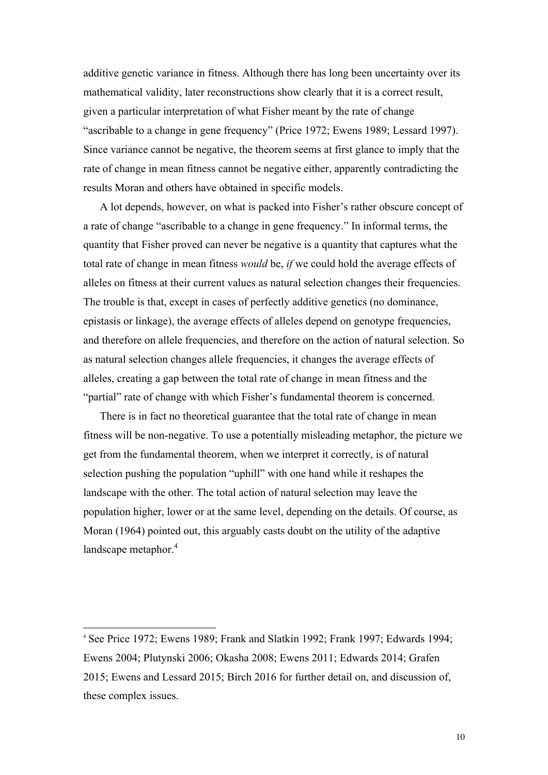additive genetic variance in fitness. Although there has long been uncertainty over its mathematical validity, later reconstructions show clearly that it is a correct result, given a particular interpretation of what Fisher meant by the rate of change "ascribable to a change in gene frequency" (Price 1972; Ewens 1989; Lessard 1997). Since variance cannot be negative, the theorem seems at first glance to imply that the rate of change in mean fitness cannot be negative either, apparently contradicting the results Moran and others have obtained in specific models.

A lot depends, however, on what is packed into Fisher's rather obscure concept of a rate of change "ascribable to a change in gene frequency." In informal terms, the quantity that Fisher proved can never be negative is a quantity that captures what the total rate of change in mean fitness *would* be, *if* we could hold the average effects of alleles on fitness at their current values as natural selection changes their frequencies. The trouble is that, except in cases of perfectly additive genetics (no dominance, epistasis or linkage), the average effects of alleles depend on genotype frequencies, and therefore on allele frequencies, and therefore on the action of natural selection. So as natural selection changes allele frequencies, it changes the average effects of alleles, creating a gap between the total rate of change in mean fitness and the "partial" rate of change with which Fisher's fundamental theorem is concerned.

There is in fact no theoretical guarantee that the total rate of change in mean fitness will be non-negative. To use a potentially misleading metaphor, the picture we get from the fundamental theorem, when we interpret it correctly, is of natural selection pushing the population "uphill" with one hand while it reshapes the landscape with the other. The total action of natural selection may leave the population higher, lower or at the same level, depending on the details. Of course, as Moran (1964) pointed out, this arguably casts doubt on the utility of the adaptive landscape metaphor.<sup>4</sup>

 <sup>4</sup> See Price 1972; Ewens 1989; Frank and Slatkin 1992; Frank 1997; Edwards 1994; Ewens 2004; Plutynski 2006; Okasha 2008; Ewens 2011; Edwards 2014; Grafen 2015; Ewens and Lessard 2015; Birch 2016 for further detail on, and discussion of, these complex issues.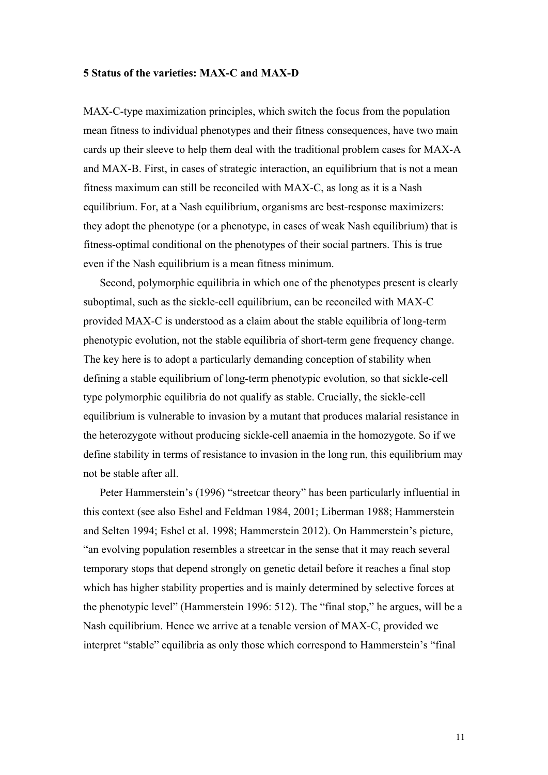### **5 Status of the varieties: MAX-C and MAX-D**

MAX-C-type maximization principles, which switch the focus from the population mean fitness to individual phenotypes and their fitness consequences, have two main cards up their sleeve to help them deal with the traditional problem cases for MAX-A and MAX-B. First, in cases of strategic interaction, an equilibrium that is not a mean fitness maximum can still be reconciled with MAX-C, as long as it is a Nash equilibrium. For, at a Nash equilibrium, organisms are best-response maximizers: they adopt the phenotype (or a phenotype, in cases of weak Nash equilibrium) that is fitness-optimal conditional on the phenotypes of their social partners. This is true even if the Nash equilibrium is a mean fitness minimum.

Second, polymorphic equilibria in which one of the phenotypes present is clearly suboptimal, such as the sickle-cell equilibrium, can be reconciled with MAX-C provided MAX-C is understood as a claim about the stable equilibria of long-term phenotypic evolution, not the stable equilibria of short-term gene frequency change. The key here is to adopt a particularly demanding conception of stability when defining a stable equilibrium of long-term phenotypic evolution, so that sickle-cell type polymorphic equilibria do not qualify as stable. Crucially, the sickle-cell equilibrium is vulnerable to invasion by a mutant that produces malarial resistance in the heterozygote without producing sickle-cell anaemia in the homozygote. So if we define stability in terms of resistance to invasion in the long run, this equilibrium may not be stable after all.

Peter Hammerstein's (1996) "streetcar theory" has been particularly influential in this context (see also Eshel and Feldman 1984, 2001; Liberman 1988; Hammerstein and Selten 1994; Eshel et al. 1998; Hammerstein 2012). On Hammerstein's picture, "an evolving population resembles a streetcar in the sense that it may reach several temporary stops that depend strongly on genetic detail before it reaches a final stop which has higher stability properties and is mainly determined by selective forces at the phenotypic level" (Hammerstein 1996: 512). The "final stop," he argues, will be a Nash equilibrium. Hence we arrive at a tenable version of MAX-C, provided we interpret "stable" equilibria as only those which correspond to Hammerstein's "final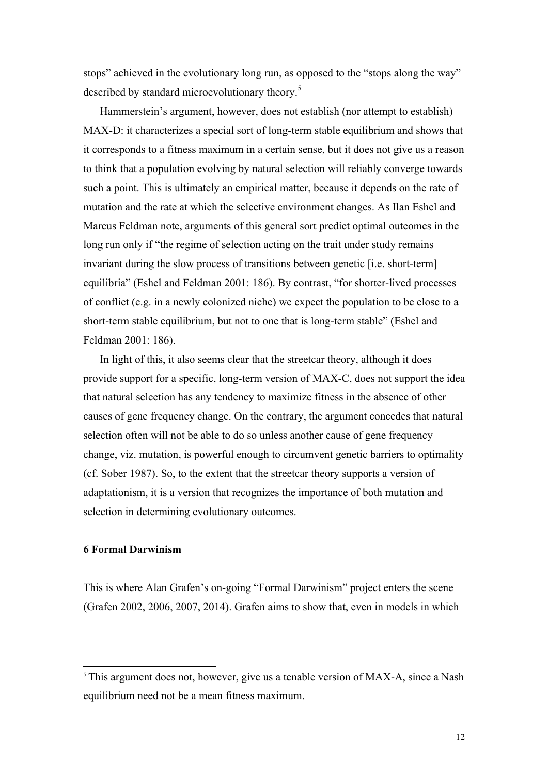stops" achieved in the evolutionary long run, as opposed to the "stops along the way" described by standard microevolutionary theory.<sup>5</sup>

Hammerstein's argument, however, does not establish (nor attempt to establish) MAX-D: it characterizes a special sort of long-term stable equilibrium and shows that it corresponds to a fitness maximum in a certain sense, but it does not give us a reason to think that a population evolving by natural selection will reliably converge towards such a point. This is ultimately an empirical matter, because it depends on the rate of mutation and the rate at which the selective environment changes. As Ilan Eshel and Marcus Feldman note, arguments of this general sort predict optimal outcomes in the long run only if "the regime of selection acting on the trait under study remains invariant during the slow process of transitions between genetic [i.e. short-term] equilibria" (Eshel and Feldman 2001: 186). By contrast, "for shorter-lived processes of conflict (e.g. in a newly colonized niche) we expect the population to be close to a short-term stable equilibrium, but not to one that is long-term stable" (Eshel and Feldman 2001: 186).

In light of this, it also seems clear that the streetcar theory, although it does provide support for a specific, long-term version of MAX-C, does not support the idea that natural selection has any tendency to maximize fitness in the absence of other causes of gene frequency change. On the contrary, the argument concedes that natural selection often will not be able to do so unless another cause of gene frequency change, viz. mutation, is powerful enough to circumvent genetic barriers to optimality (cf. Sober 1987). So, to the extent that the streetcar theory supports a version of adaptationism, it is a version that recognizes the importance of both mutation and selection in determining evolutionary outcomes.

## **6 Formal Darwinism**

This is where Alan Grafen's on-going "Formal Darwinism" project enters the scene (Grafen 2002, 2006, 2007, 2014). Grafen aims to show that, even in models in which

<sup>&</sup>lt;sup>5</sup> This argument does not, however, give us a tenable version of MAX-A, since a Nash equilibrium need not be a mean fitness maximum.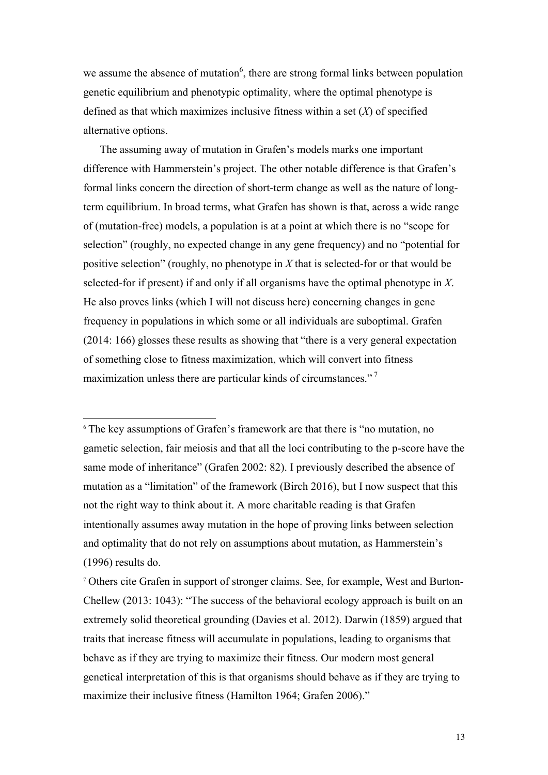we assume the absence of mutation $<sup>6</sup>$ , there are strong formal links between population</sup> genetic equilibrium and phenotypic optimality, where the optimal phenotype is defined as that which maximizes inclusive fitness within a set (*X*) of specified alternative options.

The assuming away of mutation in Grafen's models marks one important difference with Hammerstein's project. The other notable difference is that Grafen's formal links concern the direction of short-term change as well as the nature of longterm equilibrium. In broad terms, what Grafen has shown is that, across a wide range of (mutation-free) models, a population is at a point at which there is no "scope for selection" (roughly, no expected change in any gene frequency) and no "potential for positive selection" (roughly, no phenotype in *X* that is selected-for or that would be selected-for if present) if and only if all organisms have the optimal phenotype in *X*. He also proves links (which I will not discuss here) concerning changes in gene frequency in populations in which some or all individuals are suboptimal. Grafen (2014: 166) glosses these results as showing that "there is a very general expectation of something close to fitness maximization, which will convert into fitness maximization unless there are particular kinds of circumstances."<sup>7</sup>

<sup>7</sup> Others cite Grafen in support of stronger claims. See, for example, West and Burton-Chellew (2013: 1043): "The success of the behavioral ecology approach is built on an extremely solid theoretical grounding (Davies et al. 2012). Darwin (1859) argued that traits that increase fitness will accumulate in populations, leading to organisms that behave as if they are trying to maximize their fitness. Our modern most general genetical interpretation of this is that organisms should behave as if they are trying to maximize their inclusive fitness (Hamilton 1964; Grafen 2006)."

 <sup>6</sup> The key assumptions of Grafen's framework are that there is "no mutation, no gametic selection, fair meiosis and that all the loci contributing to the p-score have the same mode of inheritance" (Grafen 2002: 82). I previously described the absence of mutation as a "limitation" of the framework (Birch 2016), but I now suspect that this not the right way to think about it. A more charitable reading is that Grafen intentionally assumes away mutation in the hope of proving links between selection and optimality that do not rely on assumptions about mutation, as Hammerstein's (1996) results do.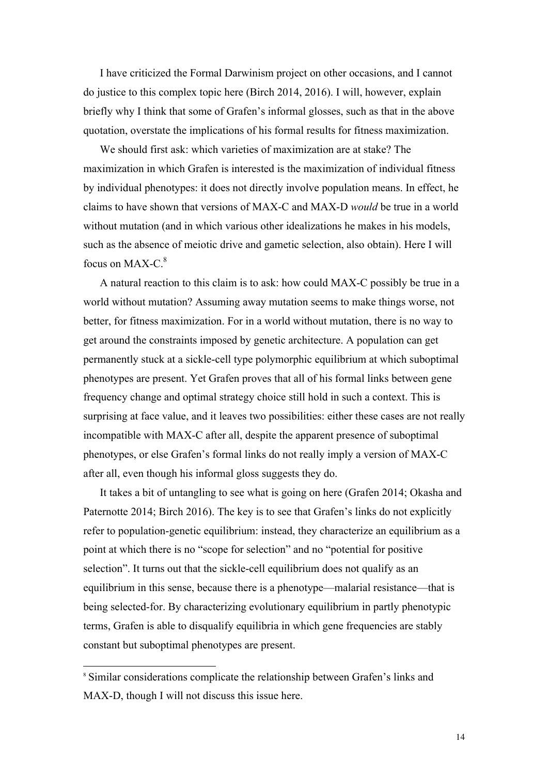I have criticized the Formal Darwinism project on other occasions, and I cannot do justice to this complex topic here (Birch 2014, 2016). I will, however, explain briefly why I think that some of Grafen's informal glosses, such as that in the above quotation, overstate the implications of his formal results for fitness maximization.

We should first ask: which varieties of maximization are at stake? The maximization in which Grafen is interested is the maximization of individual fitness by individual phenotypes: it does not directly involve population means. In effect, he claims to have shown that versions of MAX-C and MAX-D *would* be true in a world without mutation (and in which various other idealizations he makes in his models, such as the absence of meiotic drive and gametic selection, also obtain). Here I will focus on MAX- $C<sup>8</sup>$ 

A natural reaction to this claim is to ask: how could MAX-C possibly be true in a world without mutation? Assuming away mutation seems to make things worse, not better, for fitness maximization. For in a world without mutation, there is no way to get around the constraints imposed by genetic architecture. A population can get permanently stuck at a sickle-cell type polymorphic equilibrium at which suboptimal phenotypes are present. Yet Grafen proves that all of his formal links between gene frequency change and optimal strategy choice still hold in such a context. This is surprising at face value, and it leaves two possibilities: either these cases are not really incompatible with MAX-C after all, despite the apparent presence of suboptimal phenotypes, or else Grafen's formal links do not really imply a version of MAX-C after all, even though his informal gloss suggests they do.

It takes a bit of untangling to see what is going on here (Grafen 2014; Okasha and Paternotte 2014; Birch 2016). The key is to see that Grafen's links do not explicitly refer to population-genetic equilibrium: instead, they characterize an equilibrium as a point at which there is no "scope for selection" and no "potential for positive selection". It turns out that the sickle-cell equilibrium does not qualify as an equilibrium in this sense, because there is a phenotype—malarial resistance—that is being selected-for. By characterizing evolutionary equilibrium in partly phenotypic terms, Grafen is able to disqualify equilibria in which gene frequencies are stably constant but suboptimal phenotypes are present.

 <sup>8</sup> Similar considerations complicate the relationship between Grafen's links and MAX-D, though I will not discuss this issue here.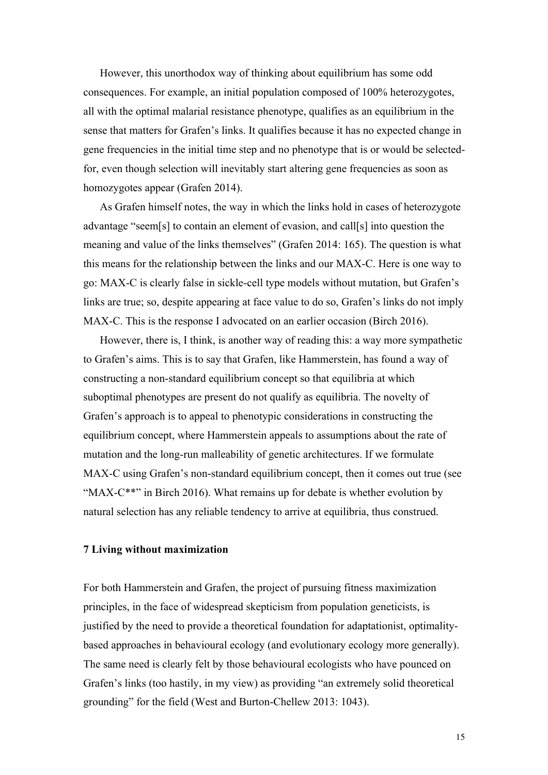However, this unorthodox way of thinking about equilibrium has some odd consequences. For example, an initial population composed of 100% heterozygotes, all with the optimal malarial resistance phenotype, qualifies as an equilibrium in the sense that matters for Grafen's links. It qualifies because it has no expected change in gene frequencies in the initial time step and no phenotype that is or would be selectedfor, even though selection will inevitably start altering gene frequencies as soon as homozygotes appear (Grafen 2014).

As Grafen himself notes, the way in which the links hold in cases of heterozygote advantage "seem[s] to contain an element of evasion, and call[s] into question the meaning and value of the links themselves" (Grafen 2014: 165). The question is what this means for the relationship between the links and our MAX-C. Here is one way to go: MAX-C is clearly false in sickle-cell type models without mutation, but Grafen's links are true; so, despite appearing at face value to do so, Grafen's links do not imply MAX-C. This is the response I advocated on an earlier occasion (Birch 2016).

However, there is, I think, is another way of reading this: a way more sympathetic to Grafen's aims. This is to say that Grafen, like Hammerstein, has found a way of constructing a non-standard equilibrium concept so that equilibria at which suboptimal phenotypes are present do not qualify as equilibria. The novelty of Grafen's approach is to appeal to phenotypic considerations in constructing the equilibrium concept, where Hammerstein appeals to assumptions about the rate of mutation and the long-run malleability of genetic architectures. If we formulate MAX-C using Grafen's non-standard equilibrium concept, then it comes out true (see "MAX-C\*\*" in Birch 2016). What remains up for debate is whether evolution by natural selection has any reliable tendency to arrive at equilibria, thus construed.

#### **7 Living without maximization**

For both Hammerstein and Grafen, the project of pursuing fitness maximization principles, in the face of widespread skepticism from population geneticists, is justified by the need to provide a theoretical foundation for adaptationist, optimalitybased approaches in behavioural ecology (and evolutionary ecology more generally). The same need is clearly felt by those behavioural ecologists who have pounced on Grafen's links (too hastily, in my view) as providing "an extremely solid theoretical grounding" for the field (West and Burton-Chellew 2013: 1043).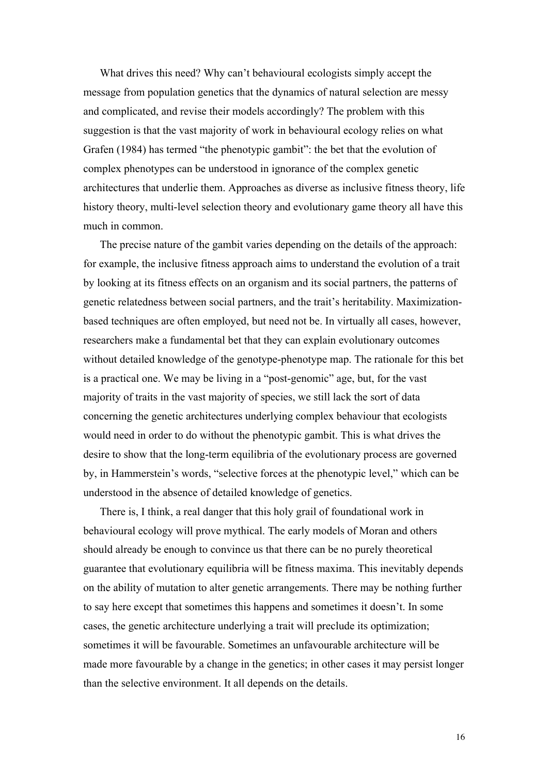What drives this need? Why can't behavioural ecologists simply accept the message from population genetics that the dynamics of natural selection are messy and complicated, and revise their models accordingly? The problem with this suggestion is that the vast majority of work in behavioural ecology relies on what Grafen (1984) has termed "the phenotypic gambit": the bet that the evolution of complex phenotypes can be understood in ignorance of the complex genetic architectures that underlie them. Approaches as diverse as inclusive fitness theory, life history theory, multi-level selection theory and evolutionary game theory all have this much in common.

The precise nature of the gambit varies depending on the details of the approach: for example, the inclusive fitness approach aims to understand the evolution of a trait by looking at its fitness effects on an organism and its social partners, the patterns of genetic relatedness between social partners, and the trait's heritability. Maximizationbased techniques are often employed, but need not be. In virtually all cases, however, researchers make a fundamental bet that they can explain evolutionary outcomes without detailed knowledge of the genotype-phenotype map. The rationale for this bet is a practical one. We may be living in a "post-genomic" age, but, for the vast majority of traits in the vast majority of species, we still lack the sort of data concerning the genetic architectures underlying complex behaviour that ecologists would need in order to do without the phenotypic gambit. This is what drives the desire to show that the long-term equilibria of the evolutionary process are governed by, in Hammerstein's words, "selective forces at the phenotypic level," which can be understood in the absence of detailed knowledge of genetics.

There is, I think, a real danger that this holy grail of foundational work in behavioural ecology will prove mythical. The early models of Moran and others should already be enough to convince us that there can be no purely theoretical guarantee that evolutionary equilibria will be fitness maxima. This inevitably depends on the ability of mutation to alter genetic arrangements. There may be nothing further to say here except that sometimes this happens and sometimes it doesn't. In some cases, the genetic architecture underlying a trait will preclude its optimization; sometimes it will be favourable. Sometimes an unfavourable architecture will be made more favourable by a change in the genetics; in other cases it may persist longer than the selective environment. It all depends on the details.

16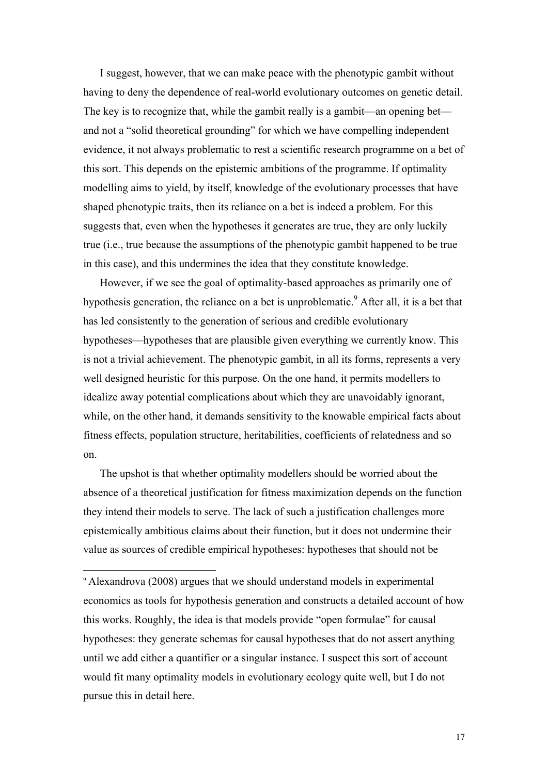I suggest, however, that we can make peace with the phenotypic gambit without having to deny the dependence of real-world evolutionary outcomes on genetic detail. The key is to recognize that, while the gambit really is a gambit—an opening bet and not a "solid theoretical grounding" for which we have compelling independent evidence, it not always problematic to rest a scientific research programme on a bet of this sort. This depends on the epistemic ambitions of the programme. If optimality modelling aims to yield, by itself, knowledge of the evolutionary processes that have shaped phenotypic traits, then its reliance on a bet is indeed a problem. For this suggests that, even when the hypotheses it generates are true, they are only luckily true (i.e., true because the assumptions of the phenotypic gambit happened to be true in this case), and this undermines the idea that they constitute knowledge.

However, if we see the goal of optimality-based approaches as primarily one of hypothesis generation, the reliance on a bet is unproblematic.<sup>9</sup> After all, it is a bet that has led consistently to the generation of serious and credible evolutionary hypotheses—hypotheses that are plausible given everything we currently know. This is not a trivial achievement. The phenotypic gambit, in all its forms, represents a very well designed heuristic for this purpose. On the one hand, it permits modellers to idealize away potential complications about which they are unavoidably ignorant, while, on the other hand, it demands sensitivity to the knowable empirical facts about fitness effects, population structure, heritabilities, coefficients of relatedness and so on.

The upshot is that whether optimality modellers should be worried about the absence of a theoretical justification for fitness maximization depends on the function they intend their models to serve. The lack of such a justification challenges more epistemically ambitious claims about their function, but it does not undermine their value as sources of credible empirical hypotheses: hypotheses that should not be

 <sup>9</sup> Alexandrova (2008) argues that we should understand models in experimental economics as tools for hypothesis generation and constructs a detailed account of how this works. Roughly, the idea is that models provide "open formulae" for causal hypotheses: they generate schemas for causal hypotheses that do not assert anything until we add either a quantifier or a singular instance. I suspect this sort of account would fit many optimality models in evolutionary ecology quite well, but I do not pursue this in detail here.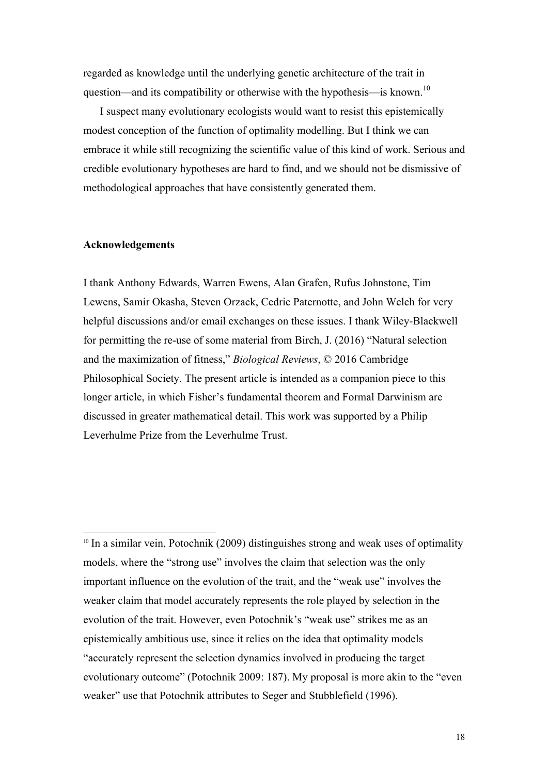regarded as knowledge until the underlying genetic architecture of the trait in question—and its compatibility or otherwise with the hypothesis—is known.<sup>10</sup>

I suspect many evolutionary ecologists would want to resist this epistemically modest conception of the function of optimality modelling. But I think we can embrace it while still recognizing the scientific value of this kind of work. Serious and credible evolutionary hypotheses are hard to find, and we should not be dismissive of methodological approaches that have consistently generated them.

#### **Acknowledgements**

I thank Anthony Edwards, Warren Ewens, Alan Grafen, Rufus Johnstone, Tim Lewens, Samir Okasha, Steven Orzack, Cedric Paternotte, and John Welch for very helpful discussions and/or email exchanges on these issues. I thank Wiley-Blackwell for permitting the re-use of some material from Birch, J. (2016) "Natural selection and the maximization of fitness," *Biological Reviews*, © 2016 Cambridge Philosophical Society. The present article is intended as a companion piece to this longer article, in which Fisher's fundamental theorem and Formal Darwinism are discussed in greater mathematical detail. This work was supported by a Philip Leverhulme Prize from the Leverhulme Trust.

 $10$  In a similar vein, Potochnik (2009) distinguishes strong and weak uses of optimality models, where the "strong use" involves the claim that selection was the only important influence on the evolution of the trait, and the "weak use" involves the weaker claim that model accurately represents the role played by selection in the evolution of the trait. However, even Potochnik's "weak use" strikes me as an epistemically ambitious use, since it relies on the idea that optimality models "accurately represent the selection dynamics involved in producing the target evolutionary outcome" (Potochnik 2009: 187). My proposal is more akin to the "even weaker" use that Potochnik attributes to Seger and Stubblefield (1996).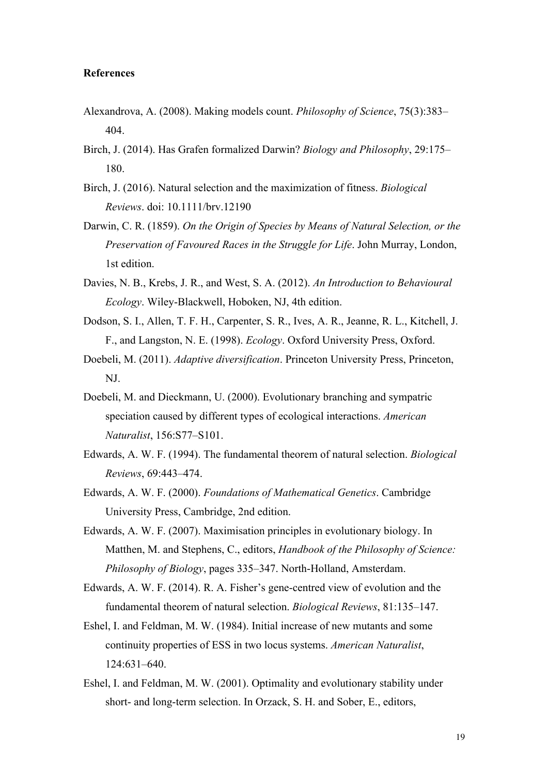#### **References**

- Alexandrova, A. (2008). Making models count. *Philosophy of Science*, 75(3):383– 404.
- Birch, J. (2014). Has Grafen formalized Darwin? *Biology and Philosophy*, 29:175– 180.
- Birch, J. (2016). Natural selection and the maximization of fitness. *Biological Reviews*. doi: 10.1111/brv.12190
- Darwin, C. R. (1859). *On the Origin of Species by Means of Natural Selection, or the Preservation of Favoured Races in the Struggle for Life*. John Murray, London, 1st edition.
- Davies, N. B., Krebs, J. R., and West, S. A. (2012). *An Introduction to Behavioural Ecology*. Wiley-Blackwell, Hoboken, NJ, 4th edition.
- Dodson, S. I., Allen, T. F. H., Carpenter, S. R., Ives, A. R., Jeanne, R. L., Kitchell, J. F., and Langston, N. E. (1998). *Ecology*. Oxford University Press, Oxford.
- Doebeli, M. (2011). *Adaptive diversification*. Princeton University Press, Princeton, NJ.
- Doebeli, M. and Dieckmann, U. (2000). Evolutionary branching and sympatric speciation caused by different types of ecological interactions. *American Naturalist*, 156:S77–S101.
- Edwards, A. W. F. (1994). The fundamental theorem of natural selection. *Biological Reviews*, 69:443–474.
- Edwards, A. W. F. (2000). *Foundations of Mathematical Genetics*. Cambridge University Press, Cambridge, 2nd edition.
- Edwards, A. W. F. (2007). Maximisation principles in evolutionary biology. In Matthen, M. and Stephens, C., editors, *Handbook of the Philosophy of Science: Philosophy of Biology*, pages 335–347. North-Holland, Amsterdam.
- Edwards, A. W. F. (2014). R. A. Fisher's gene-centred view of evolution and the fundamental theorem of natural selection. *Biological Reviews*, 81:135–147.
- Eshel, I. and Feldman, M. W. (1984). Initial increase of new mutants and some continuity properties of ESS in two locus systems. *American Naturalist*, 124:631–640.
- Eshel, I. and Feldman, M. W. (2001). Optimality and evolutionary stability under short- and long-term selection. In Orzack, S. H. and Sober, E., editors,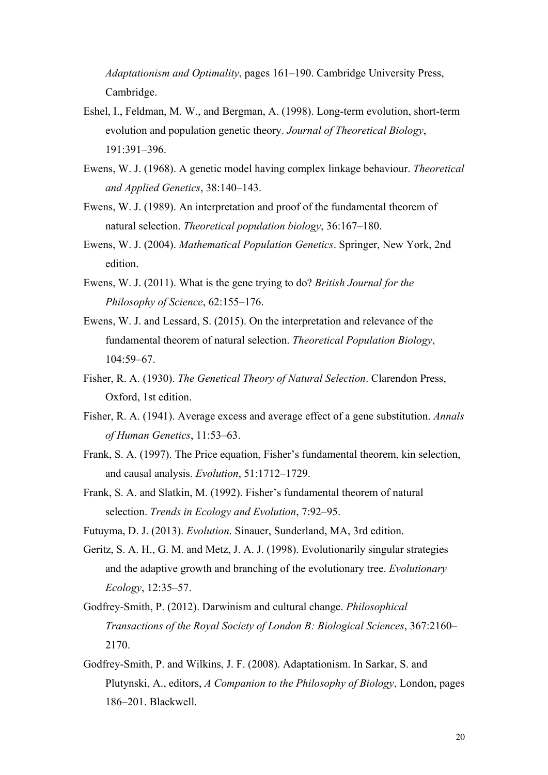*Adaptationism and Optimality*, pages 161–190. Cambridge University Press, Cambridge.

- Eshel, I., Feldman, M. W., and Bergman, A. (1998). Long-term evolution, short-term evolution and population genetic theory. *Journal of Theoretical Biology*, 191:391–396.
- Ewens, W. J. (1968). A genetic model having complex linkage behaviour. *Theoretical and Applied Genetics*, 38:140–143.
- Ewens, W. J. (1989). An interpretation and proof of the fundamental theorem of natural selection. *Theoretical population biology*, 36:167–180.
- Ewens, W. J. (2004). *Mathematical Population Genetics*. Springer, New York, 2nd edition.
- Ewens, W. J. (2011). What is the gene trying to do? *British Journal for the Philosophy of Science*, 62:155–176.
- Ewens, W. J. and Lessard, S. (2015). On the interpretation and relevance of the fundamental theorem of natural selection. *Theoretical Population Biology*, 104:59–67.
- Fisher, R. A. (1930). *The Genetical Theory of Natural Selection*. Clarendon Press, Oxford, 1st edition.
- Fisher, R. A. (1941). Average excess and average effect of a gene substitution. *Annals of Human Genetics*, 11:53–63.
- Frank, S. A. (1997). The Price equation, Fisher's fundamental theorem, kin selection, and causal analysis. *Evolution*, 51:1712–1729.
- Frank, S. A. and Slatkin, M. (1992). Fisher's fundamental theorem of natural selection. *Trends in Ecology and Evolution*, 7:92–95.
- Futuyma, D. J. (2013). *Evolution*. Sinauer, Sunderland, MA, 3rd edition.
- Geritz, S. A. H., G. M. and Metz, J. A. J. (1998). Evolutionarily singular strategies and the adaptive growth and branching of the evolutionary tree. *Evolutionary Ecology*, 12:35–57.
- Godfrey-Smith, P. (2012). Darwinism and cultural change. *Philosophical Transactions of the Royal Society of London B: Biological Sciences*, 367:2160– 2170.
- Godfrey-Smith, P. and Wilkins, J. F. (2008). Adaptationism. In Sarkar, S. and Plutynski, A., editors, *A Companion to the Philosophy of Biology*, London, pages 186–201. Blackwell.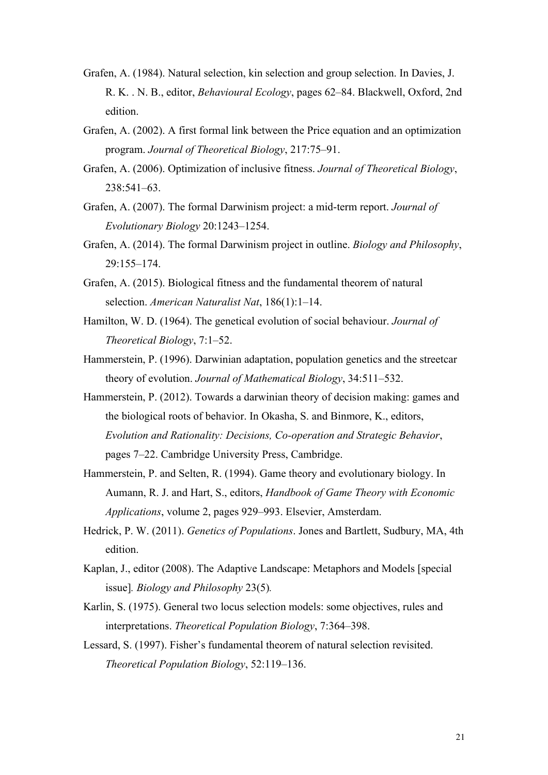- Grafen, A. (1984). Natural selection, kin selection and group selection. In Davies, J. R. K. . N. B., editor, *Behavioural Ecology*, pages 62–84. Blackwell, Oxford, 2nd edition.
- Grafen, A. (2002). A first formal link between the Price equation and an optimization program. *Journal of Theoretical Biology*, 217:75–91.
- Grafen, A. (2006). Optimization of inclusive fitness. *Journal of Theoretical Biology*, 238:541–63.
- Grafen, A. (2007). The formal Darwinism project: a mid-term report. *Journal of Evolutionary Biology* 20:1243–1254.
- Grafen, A. (2014). The formal Darwinism project in outline. *Biology and Philosophy*,  $29.155 - 174$
- Grafen, A. (2015). Biological fitness and the fundamental theorem of natural selection. *American Naturalist Nat*, 186(1):1–14.
- Hamilton, W. D. (1964). The genetical evolution of social behaviour. *Journal of Theoretical Biology*, 7:1–52.
- Hammerstein, P. (1996). Darwinian adaptation, population genetics and the streetcar theory of evolution. *Journal of Mathematical Biology*, 34:511–532.
- Hammerstein, P. (2012). Towards a darwinian theory of decision making: games and the biological roots of behavior. In Okasha, S. and Binmore, K., editors, *Evolution and Rationality: Decisions, Co-operation and Strategic Behavior*, pages 7–22. Cambridge University Press, Cambridge.
- Hammerstein, P. and Selten, R. (1994). Game theory and evolutionary biology. In Aumann, R. J. and Hart, S., editors, *Handbook of Game Theory with Economic Applications*, volume 2, pages 929–993. Elsevier, Amsterdam.
- Hedrick, P. W. (2011). *Genetics of Populations*. Jones and Bartlett, Sudbury, MA, 4th edition.
- Kaplan, J., editor (2008). The Adaptive Landscape: Metaphors and Models [special issue]*. Biology and Philosophy* 23(5)*.*
- Karlin, S. (1975). General two locus selection models: some objectives, rules and interpretations. *Theoretical Population Biology*, 7:364–398.
- Lessard, S. (1997). Fisher's fundamental theorem of natural selection revisited. *Theoretical Population Biology*, 52:119–136.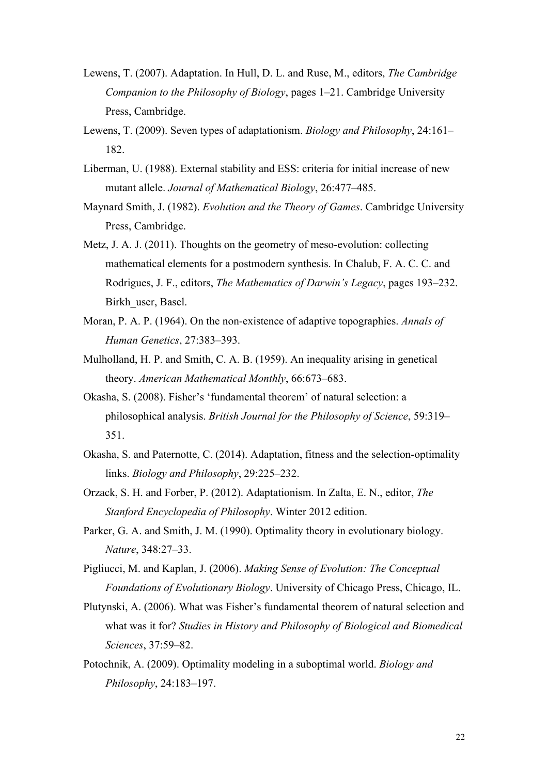- Lewens, T. (2007). Adaptation. In Hull, D. L. and Ruse, M., editors, *The Cambridge Companion to the Philosophy of Biology*, pages 1–21. Cambridge University Press, Cambridge.
- Lewens, T. (2009). Seven types of adaptationism. *Biology and Philosophy*, 24:161– 182.
- Liberman, U. (1988). External stability and ESS: criteria for initial increase of new mutant allele. *Journal of Mathematical Biology*, 26:477–485.
- Maynard Smith, J. (1982). *Evolution and the Theory of Games*. Cambridge University Press, Cambridge.
- Metz, J. A. J. (2011). Thoughts on the geometry of meso-evolution: collecting mathematical elements for a postmodern synthesis. In Chalub, F. A. C. C. and Rodrigues, J. F., editors, *The Mathematics of Darwin's Legacy*, pages 193–232. Birkh\_user, Basel.
- Moran, P. A. P. (1964). On the non-existence of adaptive topographies. *Annals of Human Genetics*, 27:383–393.
- Mulholland, H. P. and Smith, C. A. B. (1959). An inequality arising in genetical theory. *American Mathematical Monthly*, 66:673–683.
- Okasha, S. (2008). Fisher's 'fundamental theorem' of natural selection: a philosophical analysis. *British Journal for the Philosophy of Science*, 59:319– 351.
- Okasha, S. and Paternotte, C. (2014). Adaptation, fitness and the selection-optimality links. *Biology and Philosophy*, 29:225–232.
- Orzack, S. H. and Forber, P. (2012). Adaptationism. In Zalta, E. N., editor, *The Stanford Encyclopedia of Philosophy*. Winter 2012 edition.
- Parker, G. A. and Smith, J. M. (1990). Optimality theory in evolutionary biology. *Nature*, 348:27–33.
- Pigliucci, M. and Kaplan, J. (2006). *Making Sense of Evolution: The Conceptual Foundations of Evolutionary Biology*. University of Chicago Press, Chicago, IL.
- Plutynski, A. (2006). What was Fisher's fundamental theorem of natural selection and what was it for? *Studies in History and Philosophy of Biological and Biomedical Sciences*, 37:59–82.
- Potochnik, A. (2009). Optimality modeling in a suboptimal world. *Biology and Philosophy*, 24:183–197.